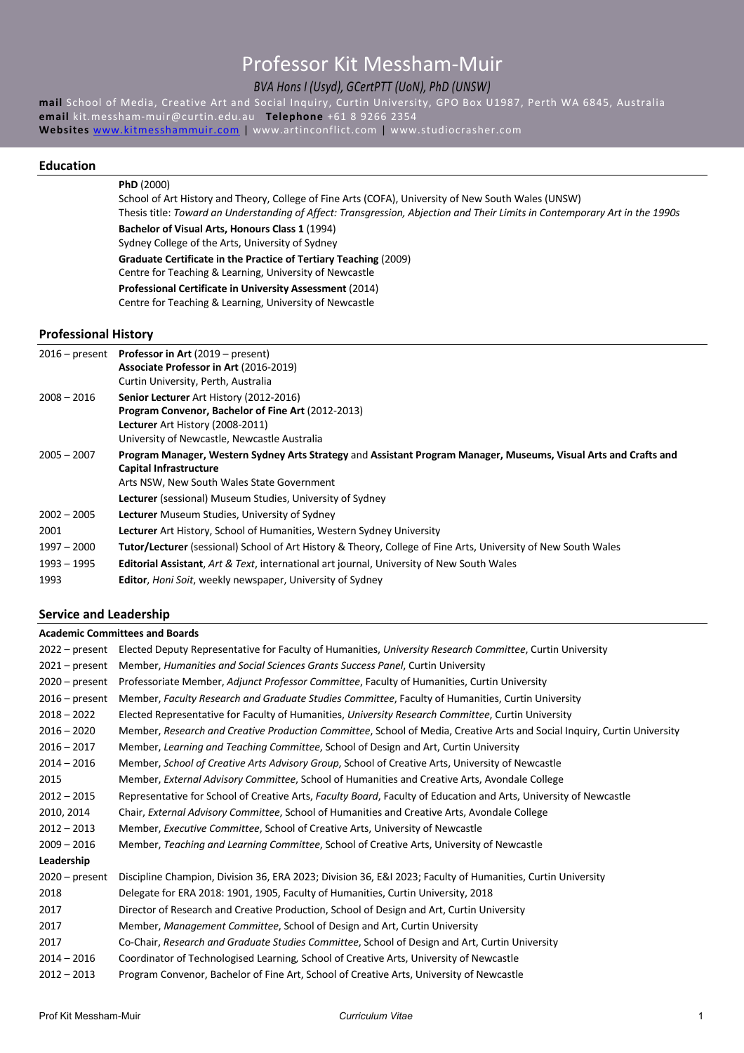# Professor Kit Messham-Muir

# *BVA Hons I (Usyd), GCertPTT (UoN), PhD (UNSW)*

**mail** School of Media, Creative Art and Social Inquiry, Curtin University, GPO Box U1987, Perth WA 6845, Australia **email** kit.messham-muir@curtin.edu.au **Telephone** +61 8 9266 2354 **Websites** www.kitmesshammuir.com | www.artinconflict.com | www.studiocrasher.com

## **Education**

**PhD** (2000) School of Art History and Theory, College of Fine Arts (COFA), University of New South Wales (UNSW) Thesis title: *Toward an Understanding of Affect: Transgression, Abjection and Their Limits in Contemporary Art in the 1990s* **Bachelor of Visual Arts, Honours Class 1** (1994) Sydney College of the Arts, University of Sydney **Graduate Certificate in the Practice of Tertiary Teaching** (2009) Centre for Teaching & Learning, University of Newcastle **Professional Certificate in University Assessment** (2014) Centre for Teaching & Learning, University of Newcastle

## **Professional History**

| $2016$ – present | <b>Professor in Art (2019 – present)</b>                                                                         |
|------------------|------------------------------------------------------------------------------------------------------------------|
|                  | Associate Professor in Art (2016-2019)                                                                           |
|                  | Curtin University, Perth, Australia                                                                              |
| $2008 - 2016$    | Senior Lecturer Art History (2012-2016)                                                                          |
|                  | Program Convenor, Bachelor of Fine Art (2012-2013)                                                               |
|                  | Lecturer Art History (2008-2011)                                                                                 |
|                  | University of Newcastle, Newcastle Australia                                                                     |
| $2005 - 2007$    | Program Manager, Western Sydney Arts Strategy and Assistant Program Manager, Museums, Visual Arts and Crafts and |
|                  | Capital Infrastructure                                                                                           |
|                  | Arts NSW, New South Wales State Government                                                                       |
|                  | <b>Lecturer</b> (sessional) Museum Studies, University of Sydney                                                 |
| $2002 - 2005$    | <b>Lecturer</b> Museum Studies, University of Sydney                                                             |
| 2001             | <b>Lecturer</b> Art History, School of Humanities, Western Sydney University                                     |
| $1997 - 2000$    | Tutor/Lecturer (sessional) School of Art History & Theory, College of Fine Arts, University of New South Wales   |
| 1993 – 1995      | <b>Editorial Assistant, Art &amp; Text, international art journal, University of New South Wales</b>             |
| 1993             | <b>Editor, Honi Soit, weekly newspaper, University of Sydney</b>                                                 |

## **Service and Leadership**

**Academic Committees and Boards**

| $2022 - present$ | Elected Deputy Representative for Faculty of Humanities, University Research Committee, Curtin University                |
|------------------|--------------------------------------------------------------------------------------------------------------------------|
| $2021 - present$ | Member, Humanities and Social Sciences Grants Success Panel, Curtin University                                           |
| $2020$ – present | Professoriate Member, Adjunct Professor Committee, Faculty of Humanities, Curtin University                              |
| $2016$ – present | Member, Faculty Research and Graduate Studies Committee, Faculty of Humanities, Curtin University                        |
| $2018 - 2022$    | Elected Representative for Faculty of Humanities, University Research Committee, Curtin University                       |
| $2016 - 2020$    | Member, Research and Creative Production Committee, School of Media, Creative Arts and Social Inquiry, Curtin University |
| $2016 - 2017$    | Member, Learning and Teaching Committee, School of Design and Art, Curtin University                                     |
| $2014 - 2016$    | Member, School of Creative Arts Advisory Group, School of Creative Arts, University of Newcastle                         |
| 2015             | Member, External Advisory Committee, School of Humanities and Creative Arts, Avondale College                            |
| $2012 - 2015$    | Representative for School of Creative Arts, Faculty Board, Faculty of Education and Arts, University of Newcastle        |
| 2010, 2014       | Chair, External Advisory Committee, School of Humanities and Creative Arts, Avondale College                             |
| $2012 - 2013$    | Member, Executive Committee, School of Creative Arts, University of Newcastle                                            |
| $2009 - 2016$    | Member, Teaching and Learning Committee, School of Creative Arts, University of Newcastle                                |
| Leadership       |                                                                                                                          |
| $2020$ – present | Discipline Champion, Division 36, ERA 2023; Division 36, E&I 2023; Faculty of Humanities, Curtin University              |
| 2018             | Delegate for ERA 2018: 1901, 1905, Faculty of Humanities, Curtin University, 2018                                        |
| 2017             | Director of Research and Creative Production, School of Design and Art, Curtin University                                |
| 2017             | Member, Management Committee, School of Design and Art, Curtin University                                                |
| 2017             | Co-Chair, Research and Graduate Studies Committee, School of Design and Art, Curtin University                           |
| $2014 - 2016$    | Coordinator of Technologised Learning, School of Creative Arts, University of Newcastle                                  |
| $2012 - 2013$    | Program Convenor, Bachelor of Fine Art, School of Creative Arts, University of Newcastle                                 |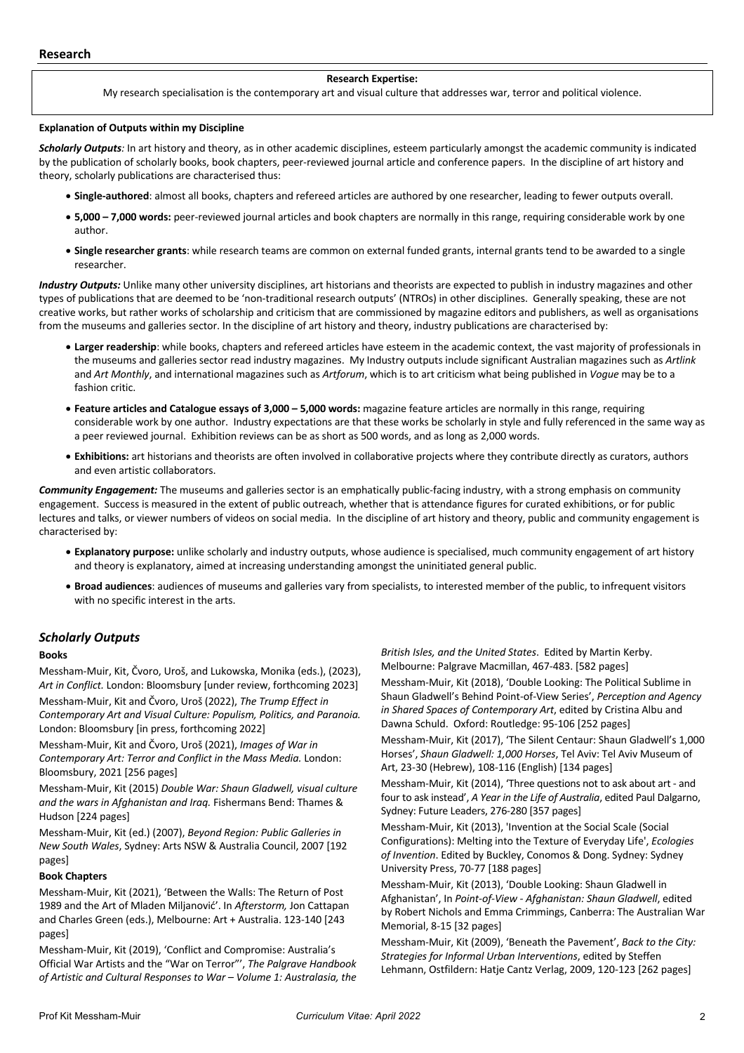#### **Research Expertise:**

My research specialisation is the contemporary art and visual culture that addresses war, terror and political violence.

#### **Explanation of Outputs within my Discipline**

*Scholarly Outputs:* In art history and theory, as in other academic disciplines, esteem particularly amongst the academic community is indicated by the publication of scholarly books, book chapters, peer-reviewed journal article and conference papers. In the discipline of art history and theory, scholarly publications are characterised thus:

- **Single-authored**: almost all books, chapters and refereed articles are authored by one researcher, leading to fewer outputs overall.
- **5,000 – 7,000 words:** peer-reviewed journal articles and book chapters are normally in this range, requiring considerable work by one author.
- **Single researcher grants**: while research teams are common on external funded grants, internal grants tend to be awarded to a single researcher.

*Industry Outputs:* Unlike many other university disciplines, art historians and theorists are expected to publish in industry magazines and other types of publications that are deemed to be 'non-traditional research outputs' (NTROs) in other disciplines. Generally speaking, these are not creative works, but rather works of scholarship and criticism that are commissioned by magazine editors and publishers, as well as organisations from the museums and galleries sector. In the discipline of art history and theory, industry publications are characterised by:

- **Larger readership**: while books, chapters and refereed articles have esteem in the academic context, the vast majority of professionals in the museums and galleries sector read industry magazines. My Industry outputs include significant Australian magazines such as *Artlink* and *Art Monthly*, and international magazines such as *Artforum*, which is to art criticism what being published in *Vogue* may be to a fashion critic.
- **Feature articles and Catalogue essays of 3,000 – 5,000 words:** magazine feature articles are normally in this range, requiring considerable work by one author. Industry expectations are that these works be scholarly in style and fully referenced in the same way as a peer reviewed journal. Exhibition reviews can be as short as 500 words, and as long as 2,000 words.
- **Exhibitions:** art historians and theorists are often involved in collaborative projects where they contribute directly as curators, authors and even artistic collaborators.

*Community Engagement:* The museums and galleries sector is an emphatically public-facing industry, with a strong emphasis on community engagement. Success is measured in the extent of public outreach, whether that is attendance figures for curated exhibitions, or for public lectures and talks, or viewer numbers of videos on social media. In the discipline of art history and theory, public and community engagement is characterised by:

- **Explanatory purpose:** unlike scholarly and industry outputs, whose audience is specialised, much community engagement of art history and theory is explanatory, aimed at increasing understanding amongst the uninitiated general public.
- **Broad audiences**: audiences of museums and galleries vary from specialists, to interested member of the public, to infrequent visitors with no specific interest in the arts.

## *Scholarly Outputs*

## **Books**

Messham-Muir, Kit, Čvoro, Uroš, and Lukowska, Monika (eds.), (2023), *Art in Conflict.* London: Bloomsbury [under review, forthcoming 2023] Messham-Muir, Kit and Čvoro, Uroš (2022), *The Trump Effect in Contemporary Art and Visual Culture: Populism, Politics, and Paranoia.* London: Bloomsbury [in press, forthcoming 2022]

Messham-Muir, Kit and Čvoro, Uroš (2021), *Images of War in Contemporary Art: Terror and Conflict in the Mass Media.* London: Bloomsbury, 2021 [256 pages]

Messham-Muir, Kit (2015) *Double War: Shaun Gladwell, visual culture and the wars in Afghanistan and Iraq.* Fishermans Bend: Thames & Hudson [224 pages]

Messham-Muir, Kit (ed.) (2007), *Beyond Region: Public Galleries in New South Wales*, Sydney: Arts NSW & Australia Council, 2007 [192 pages]

#### **Book Chapters**

Messham-Muir, Kit (2021), 'Between the Walls: The Return of Post 1989 and the Art of Mladen Miljanović'. In *Afterstorm,* Jon Cattapan and Charles Green (eds.), Melbourne: Art + Australia. 123-140 [243 pages]

Messham-Muir, Kit (2019), 'Conflict and Compromise: Australia's Official War Artists and the "War on Terror"', *The Palgrave Handbook of Artistic and Cultural Responses to War – Volume 1: Australasia, the* 

*British Isles, and the United States*. Edited by Martin Kerby. Melbourne: Palgrave Macmillan, 467-483. [582 pages]

Messham-Muir, Kit (2018), 'Double Looking: The Political Sublime in Shaun Gladwell's Behind Point-of-View Series', *Perception and Agency in Shared Spaces of Contemporary Art*, edited by Cristina Albu and Dawna Schuld. Oxford: Routledge: 95-106 [252 pages]

Messham-Muir, Kit (2017), 'The Silent Centaur: Shaun Gladwell's 1,000 Horses', *Shaun Gladwell: 1,000 Horses*, Tel Aviv: Tel Aviv Museum of Art, 23-30 (Hebrew), 108-116 (English) [134 pages]

Messham-Muir, Kit (2014), 'Three questions not to ask about art - and four to ask instead', *A Year in the Life of Australia*, edited Paul Dalgarno, Sydney: Future Leaders, 276-280 [357 pages]

Messham-Muir, Kit (2013), 'Invention at the Social Scale (Social Configurations): Melting into the Texture of Everyday Life', *Ecologies of Invention*. Edited by Buckley, Conomos & Dong. Sydney: Sydney University Press, 70-77 [188 pages]

Messham-Muir, Kit (2013), 'Double Looking: Shaun Gladwell in Afghanistan', In *Point-of-View - Afghanistan: Shaun Gladwell*, edited by Robert Nichols and Emma Crimmings, Canberra: The Australian War Memorial, 8-15 [32 pages]

Messham-Muir, Kit (2009), 'Beneath the Pavement', *Back to the City: Strategies for Informal Urban Interventions*, edited by Steffen Lehmann, Ostfildern: Hatje Cantz Verlag, 2009, 120-123 [262 pages]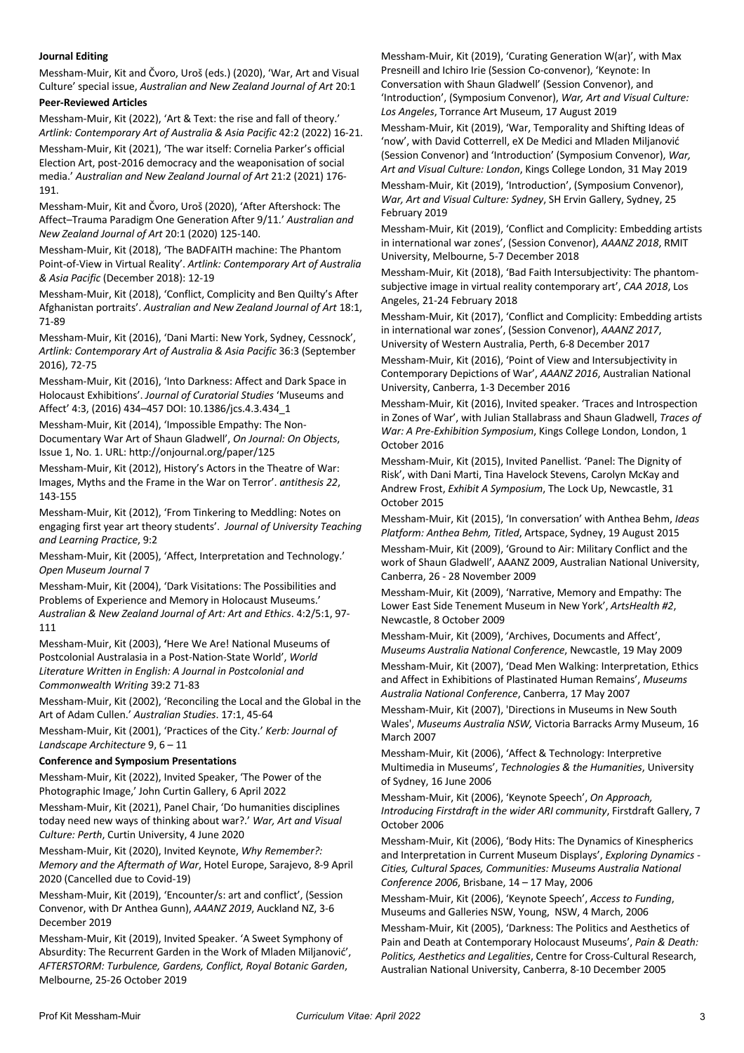## **Journal Editing**

Messham-Muir, Kit and Čvoro, Uroš (eds.) (2020), 'War, Art and Visual Culture' special issue, *Australian and New Zealand Journal of Art* 20:1

## **Peer-Reviewed Articles**

Messham-Muir, Kit (2022), 'Art & Text: the rise and fall of theory.' *Artlink: Contemporary Art of Australia & Asia Pacific* 42:2 (2022) 16-21. Messham-Muir, Kit (2021), 'The war itself: Cornelia Parker's official Election Art, post-2016 democracy and the weaponisation of social media.' *Australian and New Zealand Journal of Art* 21:2 (2021) 176- 191.

Messham-Muir, Kit and Čvoro, Uroš (2020), 'After Aftershock: The Affect–Trauma Paradigm One Generation After 9/11.' *Australian and New Zealand Journal of Art* 20:1 (2020) 125-140.

Messham-Muir, Kit (2018), 'The BADFAITH machine: The Phantom Point-of-View in Virtual Reality'. *Artlink: Contemporary Art of Australia & Asia Pacific* (December 2018): 12-19

Messham-Muir, Kit (2018), 'Conflict, Complicity and Ben Quilty's After Afghanistan portraits'. *Australian and New Zealand Journal of Art* 18:1, 71-89

Messham-Muir, Kit (2016), 'Dani Marti: New York, Sydney, Cessnock', *Artlink: Contemporary Art of Australia & Asia Pacific* 36:3 (September 2016), 72-75

Messham-Muir, Kit (2016), 'Into Darkness: Affect and Dark Space in Holocaust Exhibitions'. *Journal of Curatorial Studies* 'Museums and Affect' 4:3, (2016) 434–457 DOI: 10.1386/jcs.4.3.434\_1

Messham-Muir, Kit (2014), 'Impossible Empathy: The Non-Documentary War Art of Shaun Gladwell', *On Journal: On Objects*, Issue 1, No. 1. URL: http://onjournal.org/paper/125

Messham-Muir, Kit (2012), History's Actors in the Theatre of War: Images, Myths and the Frame in the War on Terror'. *antithesis 22*, 143-155

Messham-Muir, Kit (2012), 'From Tinkering to Meddling: Notes on engaging first year art theory students'. *Journal of University Teaching and Learning Practice*, 9:2

Messham-Muir, Kit (2005), 'Affect, Interpretation and Technology.' *Open Museum Journal* 7

Messham-Muir, Kit (2004), 'Dark Visitations: The Possibilities and Problems of Experience and Memory in Holocaust Museums.' *Australian & New Zealand Journal of Art: Art and Ethics*. 4:2/5:1, 97- 111

Messham-Muir, Kit (2003), **'**Here We Are! National Museums of Postcolonial Australasia in a Post-Nation-State World', *World Literature Written in English: A Journal in Postcolonial and Commonwealth Writing* 39:2 71-83

Messham-Muir, Kit (2002), 'Reconciling the Local and the Global in the Art of Adam Cullen.' *Australian Studies*. 17:1, 45-64

Messham-Muir, Kit (2001), 'Practices of the City.' *Kerb: Journal of Landscape Architecture* 9, 6 – 11

## **Conference and Symposium Presentations**

Messham-Muir, Kit (2022), Invited Speaker, 'The Power of the Photographic Image,' John Curtin Gallery, 6 April 2022

Messham-Muir, Kit (2021), Panel Chair, 'Do humanities disciplines today need new ways of thinking about war?.' *War, Art and Visual Culture: Perth*, Curtin University, 4 June 2020

Messham-Muir, Kit (2020), Invited Keynote, *Why Remember?: Memory and the Aftermath of War*, Hotel Europe, Sarajevo, 8-9 April 2020 (Cancelled due to Covid-19)

Messham-Muir, Kit (2019), 'Encounter/s: art and conflict', (Session Convenor, with Dr Anthea Gunn), *AAANZ 2019*, Auckland NZ, 3-6 December 2019

Messham-Muir, Kit (2019), Invited Speaker. 'A Sweet Symphony of Absurdity: The Recurrent Garden in the Work of Mladen Miljanović', *AFTERSTORM: Turbulence, Gardens, Conflict, Royal Botanic Garden*, Melbourne, 25-26 October 2019

Messham-Muir, Kit (2019), 'Curating Generation W(ar)', with Max Presneill and Ichiro Irie (Session Co-convenor), 'Keynote: In Conversation with Shaun Gladwell' (Session Convenor), and 'Introduction', (Symposium Convenor), *War, Art and Visual Culture: Los Angeles*, Torrance Art Museum, 17 August 2019

Messham-Muir, Kit (2019), 'War, Temporality and Shifting Ideas of 'now', with David Cotterrell, eX De Medici and Mladen Miljanović (Session Convenor) and 'Introduction' (Symposium Convenor), *War, Art and Visual Culture: London*, Kings College London, 31 May 2019

Messham-Muir, Kit (2019), 'Introduction', (Symposium Convenor), *War, Art and Visual Culture: Sydney*, SH Ervin Gallery, Sydney, 25 February 2019

Messham-Muir, Kit (2019), 'Conflict and Complicity: Embedding artists in international war zones', (Session Convenor), *AAANZ 2018*, RMIT University, Melbourne, 5-7 December 2018

Messham-Muir, Kit (2018), 'Bad Faith Intersubjectivity: The phantomsubjective image in virtual reality contemporary art', *CAA 2018*, Los Angeles, 21-24 February 2018

Messham-Muir, Kit (2017), 'Conflict and Complicity: Embedding artists in international war zones', (Session Convenor), *AAANZ 2017*, University of Western Australia, Perth, 6-8 December 2017

Messham-Muir, Kit (2016), 'Point of View and Intersubjectivity in Contemporary Depictions of War', *AAANZ 2016*, Australian National University, Canberra, 1-3 December 2016

Messham-Muir, Kit (2016), Invited speaker. 'Traces and Introspection in Zones of War', with Julian Stallabrass and Shaun Gladwell, *Traces of War: A Pre-Exhibition Symposium*, Kings College London, London, 1 October 2016

Messham-Muir, Kit (2015), Invited Panellist. 'Panel: The Dignity of Risk', with Dani Marti, Tina Havelock Stevens, Carolyn McKay and Andrew Frost, *Exhibit A Symposium*, The Lock Up, Newcastle, 31 October 2015

Messham-Muir, Kit (2015), 'In conversation' with Anthea Behm, *Ideas Platform: Anthea Behm, Titled*, Artspace, Sydney, 19 August 2015 Messham-Muir, Kit (2009), 'Ground to Air: Military Conflict and the work of Shaun Gladwell', AAANZ 2009, Australian National University, Canberra, 26 - 28 November 2009

Messham-Muir, Kit (2009), 'Narrative, Memory and Empathy: The Lower East Side Tenement Museum in New York', *ArtsHealth #2*, Newcastle, 8 October 2009

Messham-Muir, Kit (2009), 'Archives, Documents and Affect', *Museums Australia National Conference*, Newcastle, 19 May 2009 Messham-Muir, Kit (2007), 'Dead Men Walking: Interpretation, Ethics and Affect in Exhibitions of Plastinated Human Remains', *Museums Australia National Conference*, Canberra, 17 May 2007

Messham-Muir, Kit (2007), 'Directions in Museums in New South Wales', *Museums Australia NSW,* Victoria Barracks Army Museum, 16 March 2007

Messham-Muir, Kit (2006), 'Affect & Technology: Interpretive Multimedia in Museums', *Technologies & the Humanities*, University of Sydney, 16 June 2006

Messham-Muir, Kit (2006), 'Keynote Speech', *On Approach, Introducing Firstdraft in the wider ARI community*, Firstdraft Gallery, 7 October 2006

Messham-Muir, Kit (2006), 'Body Hits: The Dynamics of Kinespherics and Interpretation in Current Museum Displays', *Exploring Dynamics - Cities, Cultural Spaces, Communities: Museums Australia National Conference 2006*, Brisbane, 14 – 17 May, 2006

Messham-Muir, Kit (2006), 'Keynote Speech', *Access to Funding*, Museums and Galleries NSW, Young, NSW, 4 March, 2006

Messham-Muir, Kit (2005), 'Darkness: The Politics and Aesthetics of Pain and Death at Contemporary Holocaust Museums', *Pain & Death: Politics, Aesthetics and Legalities*, Centre for Cross-Cultural Research, Australian National University, Canberra, 8-10 December 2005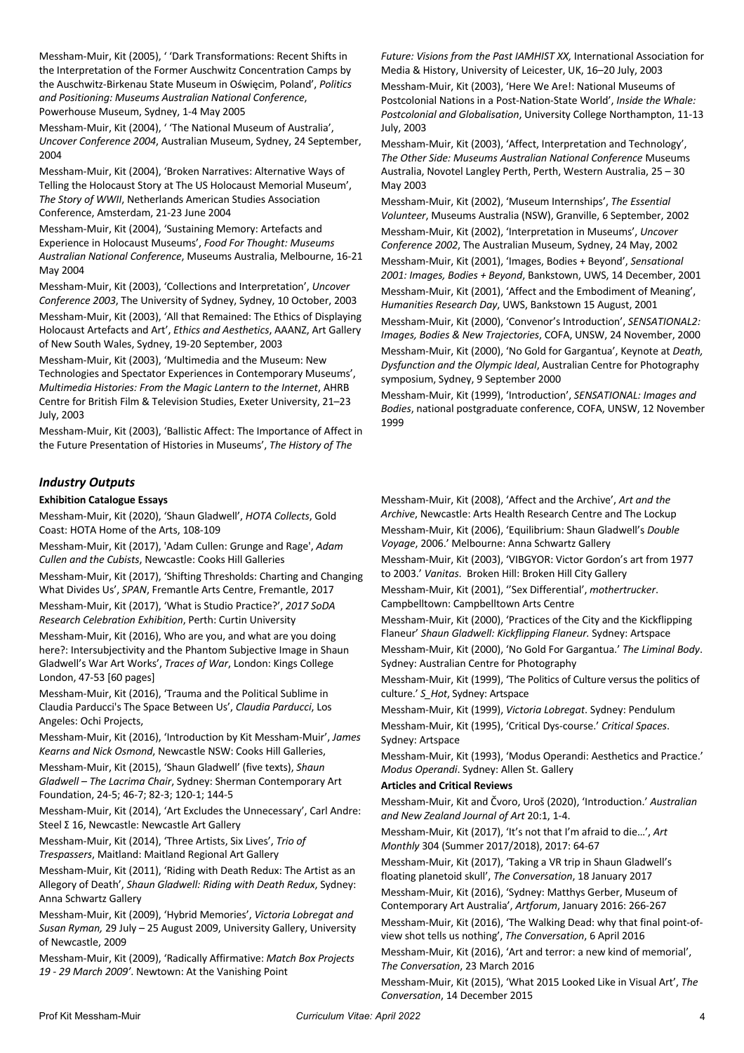Messham-Muir, Kit (2005), ' 'Dark Transformations: Recent Shifts in the Interpretation of the Former Auschwitz Concentration Camps by the Auschwitz-Birkenau State Museum in Oświęcim, Poland', *Politics and Positioning: Museums Australian National Conference*, Powerhouse Museum, Sydney, 1-4 May 2005

Messham-Muir, Kit (2004), ' 'The National Museum of Australia', *Uncover Conference 2004*, Australian Museum, Sydney, 24 September, 2004

Messham-Muir, Kit (2004), 'Broken Narratives: Alternative Ways of Telling the Holocaust Story at The US Holocaust Memorial Museum', *The Story of WWII*, Netherlands American Studies Association Conference, Amsterdam, 21-23 June 2004

Messham-Muir, Kit (2004), 'Sustaining Memory: Artefacts and Experience in Holocaust Museums', *Food For Thought: Museums Australian National Conference*, Museums Australia, Melbourne, 16-21 May 2004

Messham-Muir, Kit (2003), 'Collections and Interpretation', *Uncover Conference 2003*, The University of Sydney, Sydney, 10 October, 2003

Messham-Muir, Kit (2003), 'All that Remained: The Ethics of Displaying Holocaust Artefacts and Art', *Ethics and Aesthetics*, AAANZ, Art Gallery of New South Wales, Sydney, 19-20 September, 2003

Messham-Muir, Kit (2003), 'Multimedia and the Museum: New Technologies and Spectator Experiences in Contemporary Museums', *Multimedia Histories: From the Magic Lantern to the Internet*, AHRB Centre for British Film & Television Studies, Exeter University, 21–23 July, 2003

Messham-Muir, Kit (2003), 'Ballistic Affect: The Importance of Affect in the Future Presentation of Histories in Museums', *The History of The* 

## *Industry Outputs*

## **Exhibition Catalogue Essays**

Messham-Muir, Kit (2020), 'Shaun Gladwell', *HOTA Collects*, Gold Coast: HOTA Home of the Arts, 108-109

Messham-Muir, Kit (2017), 'Adam Cullen: Grunge and Rage', *Adam Cullen and the Cubists*, Newcastle: Cooks Hill Galleries

Messham-Muir, Kit (2017), 'Shifting Thresholds: Charting and Changing What Divides Us', *SPAN*, Fremantle Arts Centre, Fremantle, 2017 Messham-Muir, Kit (2017), 'What is Studio Practice?', *2017 SoDA* 

*Research Celebration Exhibition*, Perth: Curtin University Messham-Muir, Kit (2016), Who are you, and what are you doing

here?: Intersubjectivity and the Phantom Subjective Image in Shaun Gladwell's War Art Works', *Traces of War*, London: Kings College London, 47-53 [60 pages]

Messham-Muir, Kit (2016), 'Trauma and the Political Sublime in Claudia Parducci's The Space Between Us', *Claudia Parducci*, Los Angeles: Ochi Projects,

Messham-Muir, Kit (2016), 'Introduction by Kit Messham-Muir', *James Kearns and Nick Osmond*, Newcastle NSW: Cooks Hill Galleries,

Messham-Muir, Kit (2015), 'Shaun Gladwell' (five texts), *Shaun Gladwell – The Lacrima Chair*, Sydney: Sherman Contemporary Art Foundation, 24-5; 46-7; 82-3; 120-1; 144-5

Messham-Muir, Kit (2014), 'Art Excludes the Unnecessary', Carl Andre: Steel Σ 16, Newcastle: Newcastle Art Gallery

Messham-Muir, Kit (2014), 'Three Artists, Six Lives', *Trio of Trespassers*, Maitland: Maitland Regional Art Gallery

Messham-Muir, Kit (2011), 'Riding with Death Redux: The Artist as an Allegory of Death', *Shaun Gladwell: Riding with Death Redux*, Sydney: Anna Schwartz Gallery

Messham-Muir, Kit (2009), 'Hybrid Memories', *Victoria Lobregat and Susan Ryman,* 29 July – 25 August 2009, University Gallery, University of Newcastle, 2009

Messham-Muir, Kit (2009), 'Radically Affirmative: *Match Box Projects 19 - 29 March 2009'*. Newtown: At the Vanishing Point

*Future: Visions from the Past IAMHIST XX,* International Association for Media & History, University of Leicester, UK, 16–20 July, 2003 Messham-Muir, Kit (2003), 'Here We Are!: National Museums of Postcolonial Nations in a Post-Nation-State World', *Inside the Whale: Postcolonial and Globalisation*, University College Northampton, 11-13 July, 2003

Messham-Muir, Kit (2003), 'Affect, Interpretation and Technology', *The Other Side: Museums Australian National Conference* Museums Australia, Novotel Langley Perth, Perth, Western Australia, 25 – 30 May 2003

Messham-Muir, Kit (2002), 'Museum Internships', *The Essential Volunteer*, Museums Australia (NSW), Granville, 6 September, 2002 Messham-Muir, Kit (2002), 'Interpretation in Museums', *Uncover Conference 2002*, The Australian Museum, Sydney, 24 May, 2002 Messham-Muir, Kit (2001), 'Images, Bodies + Beyond', *Sensational 2001: Images, Bodies + Beyond*, Bankstown, UWS, 14 December, 2001 Messham-Muir, Kit (2001), 'Affect and the Embodiment of Meaning', *Humanities Research Day*, UWS, Bankstown 15 August, 2001

Messham-Muir, Kit (2000), 'Convenor's Introduction', *SENSATIONAL2: Images, Bodies & New Trajectories*, COFA, UNSW, 24 November, 2000 Messham-Muir, Kit (2000), 'No Gold for Gargantua', Keynote at *Death, Dysfunction and the Olympic Ideal*, Australian Centre for Photography symposium, Sydney, 9 September 2000

Messham-Muir, Kit (1999), 'Introduction', *SENSATIONAL: Images and Bodies*, national postgraduate conference, COFA, UNSW, 12 November 1999

Messham-Muir, Kit (2008), 'Affect and the Archive', *Art and the Archive*, Newcastle: Arts Health Research Centre and The Lockup Messham-Muir, Kit (2006), 'Equilibrium: Shaun Gladwell's *Double Voyage*, 2006.' Melbourne: Anna Schwartz Gallery

Messham-Muir, Kit (2003), 'VIBGYOR: Victor Gordon's art from 1977 to 2003.' *Vanitas*. Broken Hill: Broken Hill City Gallery

Messham-Muir, Kit (2001), ''Sex Differential', *mothertrucker*. Campbelltown: Campbelltown Arts Centre

Messham-Muir, Kit (2000), 'Practices of the City and the Kickflipping Flaneur' *Shaun Gladwell: Kickflipping Flaneur.* Sydney: Artspace

Messham-Muir, Kit (2000), 'No Gold For Gargantua.' *The Liminal Body*. Sydney: Australian Centre for Photography

Messham-Muir, Kit (1999), 'The Politics of Culture versus the politics of culture.' *S\_Hot*, Sydney: Artspace

Messham-Muir, Kit (1999), *Victoria Lobregat*. Sydney: Pendulum Messham-Muir, Kit (1995), 'Critical Dys-course.' *Critical Spaces*. Sydney: Artspace

Messham-Muir, Kit (1993), 'Modus Operandi: Aesthetics and Practice.' *Modus Operandi*. Sydney: Allen St. Gallery

## **Articles and Critical Reviews**

Messham-Muir, Kit and Čvoro, Uroš (2020), 'Introduction.' *Australian and New Zealand Journal of Art* 20:1, 1-4.

Messham-Muir, Kit (2017), 'It's not that I'm afraid to die…', *Art Monthly* 304 (Summer 2017/2018), 2017: 64-67

Messham-Muir, Kit (2017), 'Taking a VR trip in Shaun Gladwell's floating planetoid skull', *The Conversation*, 18 January 2017

Messham-Muir, Kit (2016), 'Sydney: Matthys Gerber, Museum of Contemporary Art Australia', *Artforum*, January 2016: 266-267

Messham-Muir, Kit (2016), 'The Walking Dead: why that final point-ofview shot tells us nothing', *The Conversation*, 6 April 2016

Messham-Muir, Kit (2016), 'Art and terror: a new kind of memorial', *The Conversation*, 23 March 2016

Messham-Muir, Kit (2015), 'What 2015 Looked Like in Visual Art', *The Conversation*, 14 December 2015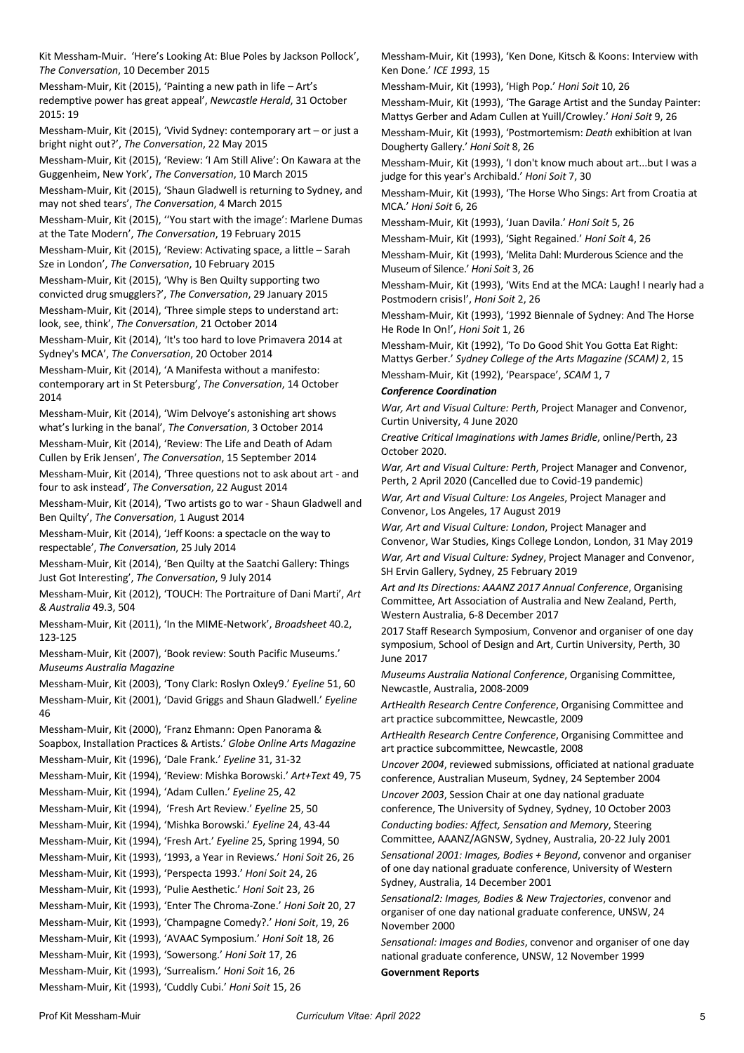Kit Messham-Muir. 'Here's Looking At: Blue Poles by Jackson Pollock', *The Conversation*, 10 December 2015

Messham-Muir, Kit (2015), 'Painting a new path in life – Art's

redemptive power has great appeal', *Newcastle Herald*, 31 October 2015: 19

Messham-Muir, Kit (2015), 'Vivid Sydney: contemporary art – or just a bright night out?', *The Conversation*, 22 May 2015

Messham-Muir, Kit (2015), 'Review: 'I Am Still Alive': On Kawara at the Guggenheim, New York', *The Conversation*, 10 March 2015

Messham-Muir, Kit (2015), 'Shaun Gladwell is returning to Sydney, and may not shed tears', *The Conversation*, 4 March 2015

Messham-Muir, Kit (2015), ''You start with the image': Marlene Dumas at the Tate Modern', *The Conversation*, 19 February 2015

Messham-Muir, Kit (2015), 'Review: Activating space, a little – Sarah Sze in London', *The Conversation*, 10 February 2015

Messham-Muir, Kit (2015), 'Why is Ben Quilty supporting two convicted drug smugglers?', *The Conversation*, 29 January 2015

Messham-Muir, Kit (2014), 'Three simple steps to understand art: look, see, think', *The Conversation*, 21 October 2014

Messham-Muir, Kit (2014), 'It's too hard to love Primavera 2014 at Sydney's MCA', *The Conversation*, 20 October 2014

Messham-Muir, Kit (2014), 'A Manifesta without a manifesto: contemporary art in St Petersburg', *The Conversation*, 14 October 2014

Messham-Muir, Kit (2014), 'Wim Delvoye's astonishing art shows what's lurking in the banal', *The Conversation*, 3 October 2014

Messham-Muir, Kit (2014), 'Review: The Life and Death of Adam Cullen by Erik Jensen', *The Conversation*, 15 September 2014

Messham-Muir, Kit (2014), 'Three questions not to ask about art - and four to ask instead', *The Conversation*, 22 August 2014

Messham-Muir, Kit (2014), 'Two artists go to war - Shaun Gladwell and Ben Quilty', *The Conversation*, 1 August 2014

Messham-Muir, Kit (2014), 'Jeff Koons: a spectacle on the way to respectable', *The Conversation*, 25 July 2014

Messham-Muir, Kit (2014), 'Ben Quilty at the Saatchi Gallery: Things Just Got Interesting', *The Conversation*, 9 July 2014

Messham-Muir, Kit (2012), 'TOUCH: The Portraiture of Dani Marti', *Art & Australia* 49.3, 504

Messham-Muir, Kit (2011), 'In the MIME-Network', *Broadsheet* 40.2, 123-125

Messham-Muir, Kit (2007), 'Book review: South Pacific Museums.' *Museums Australia Magazine*

Messham-Muir, Kit (2003), 'Tony Clark: Roslyn Oxley9.' *Eyeline* 51, 60 Messham-Muir, Kit (2001), 'David Griggs and Shaun Gladwell.' *Eyeline*  46

Messham-Muir, Kit (2000), 'Franz Ehmann: Open Panorama & Soapbox, Installation Practices & Artists.' *Globe Online Arts Magazine*

Messham-Muir, Kit (1996), 'Dale Frank.' *Eyeline* 31, 31-32

Messham-Muir, Kit (1994), 'Review: Mishka Borowski.' *Art+Text* 49, 75 Messham-Muir, Kit (1994), 'Adam Cullen.' *Eyeline* 25, 42

Messham-Muir, Kit (1994), 'Fresh Art Review.' *Eyeline* 25, 50

Messham-Muir, Kit (1994), 'Mishka Borowski.' *Eyeline* 24, 43-44

Messham-Muir, Kit (1994), 'Fresh Art.' *Eyeline* 25, Spring 1994, 50

Messham-Muir, Kit (1993), '1993, a Year in Reviews.' *Honi Soit* 26, 26

Messham-Muir, Kit (1993), 'Perspecta 1993.' *Honi Soit* 24, 26

Messham-Muir, Kit (1993), 'Pulie Aesthetic.' *Honi Soit* 23, 26

Messham-Muir, Kit (1993), 'Enter The Chroma-Zone.' *Honi Soit* 20, 27

Messham-Muir, Kit (1993), 'Champagne Comedy?.' *Honi Soit*, 19, 26

Messham-Muir, Kit (1993), 'AVAAC Symposium.' *Honi Soit* 18, 26

Messham-Muir, Kit (1993), 'Sowersong.' *Honi Soit* 17, 26

Messham-Muir, Kit (1993), 'Surrealism.' *Honi Soit* 16, 26 Messham-Muir, Kit (1993), 'Cuddly Cubi.' *Honi Soit* 15, 26 Messham-Muir, Kit (1993), 'Ken Done, Kitsch & Koons: Interview with Ken Done.' *ICE 1993*, 15

Messham-Muir, Kit (1993), 'High Pop.' *Honi Soit* 10, 26

Messham-Muir, Kit (1993), 'The Garage Artist and the Sunday Painter: Mattys Gerber and Adam Cullen at Yuill/Crowley.' *Honi Soit* 9, 26

Messham-Muir, Kit (1993), 'Postmortemism: *Death* exhibition at Ivan Dougherty Gallery.' *Honi Soit* 8, 26

Messham-Muir, Kit (1993), 'I don't know much about art...but I was a judge for this year's Archibald.' *Honi Soit* 7, 30

Messham-Muir, Kit (1993), 'The Horse Who Sings: Art from Croatia at MCA.' *Honi Soit* 6, 26

Messham-Muir, Kit (1993), 'Juan Davila.' *Honi Soit* 5, 26

Messham-Muir, Kit (1993), 'Sight Regained.' *Honi Soit* 4, 26

Messham-Muir, Kit (1993), 'Melita Dahl: Murderous Science and the Museum of Silence.' *Honi Soit* 3, 26

Messham-Muir, Kit (1993), 'Wits End at the MCA: Laugh! I nearly had a Postmodern crisis!', *Honi Soit* 2, 26

Messham-Muir, Kit (1993), '1992 Biennale of Sydney: And The Horse He Rode In On!', *Honi Soit* 1, 26

Messham-Muir, Kit (1992), 'To Do Good Shit You Gotta Eat Right: Mattys Gerber.' *Sydney College of the Arts Magazine (SCAM)* 2, 15 Messham-Muir, Kit (1992), 'Pearspace', *SCAM* 1, 7

## *Conference Coordination*

*War, Art and Visual Culture: Perth*, Project Manager and Convenor, Curtin University, 4 June 2020

*Creative Critical Imaginations with James Bridle*, online/Perth, 23 October 2020.

*War, Art and Visual Culture: Perth*, Project Manager and Convenor, Perth, 2 April 2020 (Cancelled due to Covid-19 pandemic)

*War, Art and Visual Culture: Los Angeles*, Project Manager and Convenor, Los Angeles, 17 August 2019

*War, Art and Visual Culture: London*, Project Manager and Convenor, War Studies, Kings College London, London, 31 May 2019

*War, Art and Visual Culture: Sydney*, Project Manager and Convenor, SH Ervin Gallery, Sydney, 25 February 2019

*Art and Its Directions: AAANZ 2017 Annual Conference*, Organising Committee, Art Association of Australia and New Zealand, Perth, Western Australia, 6-8 December 2017

2017 Staff Research Symposium, Convenor and organiser of one day symposium, School of Design and Art, Curtin University, Perth, 30 June 2017

*Museums Australia National Conference*, Organising Committee, Newcastle, Australia, 2008-2009

*ArtHealth Research Centre Conference*, Organising Committee and art practice subcommittee, Newcastle, 2009

*ArtHealth Research Centre Conference*, Organising Committee and art practice subcommittee, Newcastle, 2008

*Uncover 2004*, reviewed submissions, officiated at national graduate conference, Australian Museum, Sydney, 24 September 2004

*Uncover 2003*, Session Chair at one day national graduate conference, The University of Sydney, Sydney, 10 October 2003

*Conducting bodies: Affect, Sensation and Memory*, Steering Committee, AAANZ/AGNSW, Sydney, Australia, 20-22 July 2001

*Sensational 2001: Images, Bodies + Beyond*, convenor and organiser of one day national graduate conference, University of Western Sydney, Australia, 14 December 2001

*Sensational2: Images, Bodies & New Trajectories*, convenor and organiser of one day national graduate conference, UNSW, 24 November 2000

*Sensational: Images and Bodies*, convenor and organiser of one day national graduate conference, UNSW, 12 November 1999 **Government Reports**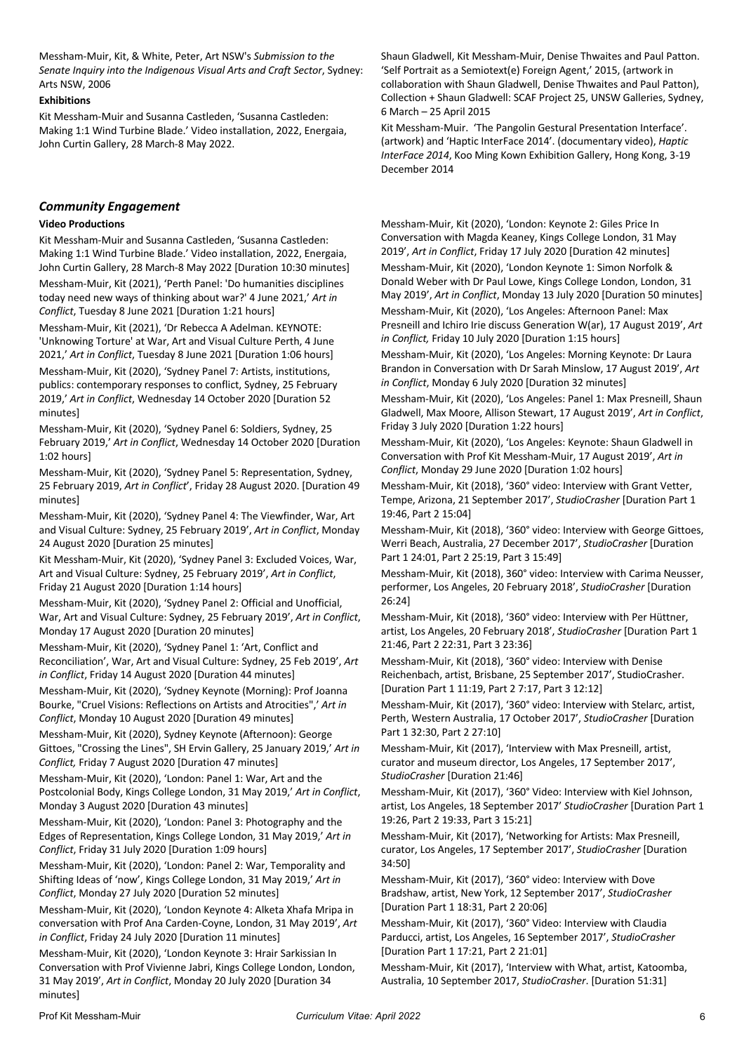Messham-Muir, Kit, & White, Peter, Art NSW's *Submission to the Senate Inquiry into the Indigenous Visual Arts and Craft Sector*, Sydney: Arts NSW, 2006

## **Exhibitions**

Kit Messham-Muir and Susanna Castleden, 'Susanna Castleden: Making 1:1 Wind Turbine Blade.' Video installation, 2022, Energaia, John Curtin Gallery, 28 March-8 May 2022.

## *Community Engagement*

#### **Video Productions**

Kit Messham-Muir and Susanna Castleden, 'Susanna Castleden: Making 1:1 Wind Turbine Blade.' Video installation, 2022, Energaia, John Curtin Gallery, 28 March-8 May 2022 [Duration 10:30 minutes]

Messham-Muir, Kit (2021), 'Perth Panel: 'Do humanities disciplines today need new ways of thinking about war?' 4 June 2021,' *Art in Conflict*, Tuesday 8 June 2021 [Duration 1:21 hours]

Messham-Muir, Kit (2021), 'Dr Rebecca A Adelman. KEYNOTE: 'Unknowing Torture' at War, Art and Visual Culture Perth, 4 June 2021,' *Art in Conflict*, Tuesday 8 June 2021 [Duration 1:06 hours] Messham-Muir, Kit (2020), 'Sydney Panel 7: Artists, institutions, publics: contemporary responses to conflict, Sydney, 25 February 2019,' *Art in Conflict*, Wednesday 14 October 2020 [Duration 52 minutes]

Messham-Muir, Kit (2020), 'Sydney Panel 6: Soldiers, Sydney, 25 February 2019,' *Art in Conflict*, Wednesday 14 October 2020 [Duration 1:02 hours]

Messham-Muir, Kit (2020), 'Sydney Panel 5: Representation, Sydney, 25 February 2019, *Art in Conflict*', Friday 28 August 2020. [Duration 49 minutes]

Messham-Muir, Kit (2020), 'Sydney Panel 4: The Viewfinder, War, Art and Visual Culture: Sydney, 25 February 2019', *Art in Conflict*, Monday 24 August 2020 [Duration 25 minutes]

Kit Messham-Muir, Kit (2020), 'Sydney Panel 3: Excluded Voices, War, Art and Visual Culture: Sydney, 25 February 2019', *Art in Conflict*, Friday 21 August 2020 [Duration 1:14 hours]

Messham-Muir, Kit (2020), 'Sydney Panel 2: Official and Unofficial, War, Art and Visual Culture: Sydney, 25 February 2019', *Art in Conflict*, Monday 17 August 2020 [Duration 20 minutes]

Messham-Muir, Kit (2020), 'Sydney Panel 1: 'Art, Conflict and Reconciliation', War, Art and Visual Culture: Sydney, 25 Feb 2019', *Art in Conflict*, Friday 14 August 2020 [Duration 44 minutes]

Messham-Muir, Kit (2020), 'Sydney Keynote (Morning): Prof Joanna Bourke, "Cruel Visions: Reflections on Artists and Atrocities",' *Art in Conflict*, Monday 10 August 2020 [Duration 49 minutes]

Messham-Muir, Kit (2020), Sydney Keynote (Afternoon): George Gittoes, "Crossing the Lines", SH Ervin Gallery, 25 January 2019,' *Art in Conflict,* Friday 7 August 2020 [Duration 47 minutes]

Messham-Muir, Kit (2020), 'London: Panel 1: War, Art and the Postcolonial Body, Kings College London, 31 May 2019,' *Art in Conflict*, Monday 3 August 2020 [Duration 43 minutes]

Messham-Muir, Kit (2020), 'London: Panel 3: Photography and the Edges of Representation, Kings College London, 31 May 2019,' *Art in Conflict*, Friday 31 July 2020 [Duration 1:09 hours]

Messham-Muir, Kit (2020), 'London: Panel 2: War, Temporality and Shifting Ideas of 'now', Kings College London, 31 May 2019,' *Art in Conflict*, Monday 27 July 2020 [Duration 52 minutes]

Messham-Muir, Kit (2020), 'London Keynote 4: Alketa Xhafa Mripa in conversation with Prof Ana Carden-Coyne, London, 31 May 2019', *Art in Conflict*, Friday 24 July 2020 [Duration 11 minutes]

Messham-Muir, Kit (2020), 'London Keynote 3: Hrair Sarkissian In Conversation with Prof Vivienne Jabri, Kings College London, London, 31 May 2019', *Art in Conflict*, Monday 20 July 2020 [Duration 34 minutes]

Shaun Gladwell, Kit Messham-Muir, Denise Thwaites and Paul Patton. 'Self Portrait as a Semiotext(e) Foreign Agent,' 2015, (artwork in collaboration with Shaun Gladwell, Denise Thwaites and Paul Patton), Collection + Shaun Gladwell: SCAF Project 25, UNSW Galleries, Sydney, 6 March – 25 April 2015

Kit Messham-Muir. 'The Pangolin Gestural Presentation Interface'. (artwork) and 'Haptic InterFace 2014'. (documentary video), *Haptic InterFace 2014*, Koo Ming Kown Exhibition Gallery, Hong Kong, 3-19 December 2014

Messham-Muir, Kit (2020), 'London: Keynote 2: Giles Price In Conversation with Magda Keaney, Kings College London, 31 May 2019', *Art in Conflict*, Friday 17 July 2020 [Duration 42 minutes] Messham-Muir, Kit (2020), 'London Keynote 1: Simon Norfolk & Donald Weber with Dr Paul Lowe, Kings College London, London, 31 May 2019', *Art in Conflict*, Monday 13 July 2020 [Duration 50 minutes] Messham-Muir, Kit (2020), 'Los Angeles: Afternoon Panel: Max Presneill and Ichiro Irie discuss Generation W(ar), 17 August 2019', *Art in Conflict,* Friday 10 July 2020 [Duration 1:15 hours]

Messham-Muir, Kit (2020), 'Los Angeles: Morning Keynote: Dr Laura Brandon in Conversation with Dr Sarah Minslow, 17 August 2019', *Art in Conflict*, Monday 6 July 2020 [Duration 32 minutes]

Messham-Muir, Kit (2020), 'Los Angeles: Panel 1: Max Presneill, Shaun Gladwell, Max Moore, Allison Stewart, 17 August 2019', *Art in Conflict*, Friday 3 July 2020 [Duration 1:22 hours]

Messham-Muir, Kit (2020), 'Los Angeles: Keynote: Shaun Gladwell in Conversation with Prof Kit Messham-Muir, 17 August 2019', *Art in Conflict*, Monday 29 June 2020 [Duration 1:02 hours]

Messham-Muir, Kit (2018), '360° video: Interview with Grant Vetter, Tempe, Arizona, 21 September 2017', *StudioCrasher* [Duration Part 1 19:46, Part 2 15:04]

Messham-Muir, Kit (2018), '360° video: Interview with George Gittoes, Werri Beach, Australia, 27 December 2017', *StudioCrasher* [Duration Part 1 24:01, Part 2 25:19, Part 3 15:49]

Messham-Muir, Kit (2018), 360° video: Interview with Carima Neusser, performer, Los Angeles, 20 February 2018', *StudioCrasher* [Duration 26:24]

Messham-Muir, Kit (2018), '360° video: Interview with Per Hüttner, artist, Los Angeles, 20 February 2018', *StudioCrasher* [Duration Part 1 21:46, Part 2 22:31, Part 3 23:36]

Messham-Muir, Kit (2018), '360° video: Interview with Denise Reichenbach, artist, Brisbane, 25 September 2017', StudioCrasher. [Duration Part 1 11:19, Part 2 7:17, Part 3 12:12]

Messham-Muir, Kit (2017), '360° video: Interview with Stelarc, artist, Perth, Western Australia, 17 October 2017', *StudioCrasher* [Duration Part 1 32:30, Part 2 27:10]

Messham-Muir, Kit (2017), 'Interview with Max Presneill, artist, curator and museum director, Los Angeles, 17 September 2017', *StudioCrasher* [Duration 21:46]

Messham-Muir, Kit (2017), '360° Video: Interview with Kiel Johnson, artist, Los Angeles, 18 September 2017' *StudioCrasher* [Duration Part 1 19:26, Part 2 19:33, Part 3 15:21]

Messham-Muir, Kit (2017), 'Networking for Artists: Max Presneill, curator, Los Angeles, 17 September 2017', *StudioCrasher* [Duration 34:50]

Messham-Muir, Kit (2017), '360° video: Interview with Dove Bradshaw, artist, New York, 12 September 2017', *StudioCrasher* [Duration Part 1 18:31, Part 2 20:06]

Messham-Muir, Kit (2017), '360° Video: Interview with Claudia Parducci, artist, Los Angeles, 16 September 2017', *StudioCrasher* [Duration Part 1 17:21, Part 2 21:01]

Messham-Muir, Kit (2017), 'Interview with What, artist, Katoomba, Australia, 10 September 2017, *StudioCrasher*. [Duration 51:31]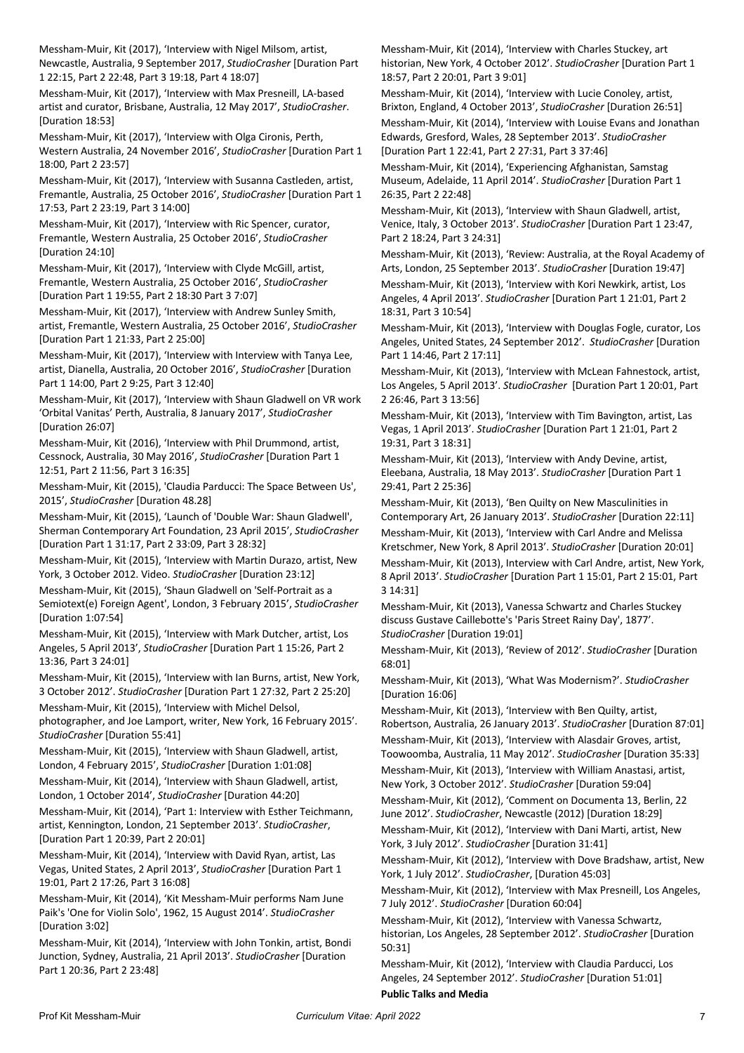Messham-Muir, Kit (2017), 'Interview with Nigel Milsom, artist, Newcastle, Australia, 9 September 2017, *StudioCrasher* [Duration Part 1 22:15, Part 2 22:48, Part 3 19:18, Part 4 18:07]

Messham-Muir, Kit (2017), 'Interview with Max Presneill, LA-based artist and curator, Brisbane, Australia, 12 May 2017', *StudioCrasher*. [Duration 18:53]

Messham-Muir, Kit (2017), 'Interview with Olga Cironis, Perth, Western Australia, 24 November 2016', *StudioCrasher* [Duration Part 1 18:00, Part 2 23:57]

Messham-Muir, Kit (2017), 'Interview with Susanna Castleden, artist, Fremantle, Australia, 25 October 2016', *StudioCrasher* [Duration Part 1 17:53, Part 2 23:19, Part 3 14:00]

Messham-Muir, Kit (2017), 'Interview with Ric Spencer, curator, Fremantle, Western Australia, 25 October 2016', *StudioCrasher* [Duration 24:10]

Messham-Muir, Kit (2017), 'Interview with Clyde McGill, artist, Fremantle, Western Australia, 25 October 2016', *StudioCrasher* [Duration Part 1 19:55, Part 2 18:30 Part 3 7:07]

Messham-Muir, Kit (2017), 'Interview with Andrew Sunley Smith, artist, Fremantle, Western Australia, 25 October 2016', *StudioCrasher* [Duration Part 1 21:33, Part 2 25:00]

Messham-Muir, Kit (2017), 'Interview with Interview with Tanya Lee, artist, Dianella, Australia, 20 October 2016', *StudioCrasher* [Duration Part 1 14:00, Part 2 9:25, Part 3 12:40]

Messham-Muir, Kit (2017), 'Interview with Shaun Gladwell on VR work 'Orbital Vanitas' Perth, Australia, 8 January 2017', *StudioCrasher* [Duration 26:07]

Messham-Muir, Kit (2016), 'Interview with Phil Drummond, artist, Cessnock, Australia, 30 May 2016', *StudioCrasher* [Duration Part 1 12:51, Part 2 11:56, Part 3 16:35]

Messham-Muir, Kit (2015), 'Claudia Parducci: The Space Between Us', 2015', *StudioCrasher* [Duration 48.28]

Messham-Muir, Kit (2015), 'Launch of 'Double War: Shaun Gladwell', Sherman Contemporary Art Foundation, 23 April 2015', *StudioCrasher* [Duration Part 1 31:17, Part 2 33:09, Part 3 28:32]

Messham-Muir, Kit (2015), 'Interview with Martin Durazo, artist, New York, 3 October 2012. Video. *StudioCrasher* [Duration 23:12]

Messham-Muir, Kit (2015), 'Shaun Gladwell on 'Self-Portrait as a Semiotext(e) Foreign Agent', London, 3 February 2015', *StudioCrasher* [Duration 1:07:54]

Messham-Muir, Kit (2015), 'Interview with Mark Dutcher, artist, Los Angeles, 5 April 2013', *StudioCrasher* [Duration Part 1 15:26, Part 2 13:36, Part 3 24:01]

Messham-Muir, Kit (2015), 'Interview with Ian Burns, artist, New York, 3 October 2012'. *StudioCrasher* [Duration Part 1 27:32, Part 2 25:20]

Messham-Muir, Kit (2015), 'Interview with Michel Delsol,

photographer, and Joe Lamport, writer, New York, 16 February 2015'. *StudioCrasher* [Duration 55:41]

Messham-Muir, Kit (2015), 'Interview with Shaun Gladwell, artist, London, 4 February 2015', *StudioCrasher* [Duration 1:01:08]

Messham-Muir, Kit (2014), 'Interview with Shaun Gladwell, artist, London, 1 October 2014', *StudioCrasher* [Duration 44:20]

Messham-Muir, Kit (2014), 'Part 1: Interview with Esther Teichmann, artist, Kennington, London, 21 September 2013'. *StudioCrasher*, [Duration Part 1 20:39, Part 2 20:01]

Messham-Muir, Kit (2014), 'Interview with David Ryan, artist, Las Vegas, United States, 2 April 2013', *StudioCrasher* [Duration Part 1 19:01, Part 2 17:26, Part 3 16:08]

Messham-Muir, Kit (2014), 'Kit Messham-Muir performs Nam June Paik's 'One for Violin Solo', 1962, 15 August 2014'. *StudioCrasher* [Duration 3:02]

Messham-Muir, Kit (2014), 'Interview with John Tonkin, artist, Bondi Junction, Sydney, Australia, 21 April 2013'. *StudioCrasher* [Duration Part 1 20:36, Part 2 23:48]

Messham-Muir, Kit (2014), 'Interview with Charles Stuckey, art historian, New York, 4 October 2012'. *StudioCrasher* [Duration Part 1 18:57, Part 2 20:01, Part 3 9:01]

Messham-Muir, Kit (2014), 'Interview with Lucie Conoley, artist, Brixton, England, 4 October 2013', *StudioCrasher* [Duration 26:51] Messham-Muir, Kit (2014), 'Interview with Louise Evans and Jonathan Edwards, Gresford, Wales, 28 September 2013'. *StudioCrasher* [Duration Part 1 22:41, Part 2 27:31, Part 3 37:46]

Messham-Muir, Kit (2014), 'Experiencing Afghanistan, Samstag Museum, Adelaide, 11 April 2014'. *StudioCrasher* [Duration Part 1 26:35, Part 2 22:48]

Messham-Muir, Kit (2013), 'Interview with Shaun Gladwell, artist, Venice, Italy, 3 October 2013'. *StudioCrasher* [Duration Part 1 23:47, Part 2 18:24, Part 3 24:31]

Messham-Muir, Kit (2013), 'Review: Australia, at the Royal Academy of Arts, London, 25 September 2013'. *StudioCrasher* [Duration 19:47]

Messham-Muir, Kit (2013), 'Interview with Kori Newkirk, artist, Los Angeles, 4 April 2013'. *StudioCrasher* [Duration Part 1 21:01, Part 2 18:31, Part 3 10:54]

Messham-Muir, Kit (2013), 'Interview with Douglas Fogle, curator, Los Angeles, United States, 24 September 2012'. *StudioCrasher* [Duration Part 1 14:46, Part 2 17:11]

Messham-Muir, Kit (2013), 'Interview with McLean Fahnestock, artist, Los Angeles, 5 April 2013'. *StudioCrasher* [Duration Part 1 20:01, Part 2 26:46, Part 3 13:56]

Messham-Muir, Kit (2013), 'Interview with Tim Bavington, artist, Las Vegas, 1 April 2013'. *StudioCrasher* [Duration Part 1 21:01, Part 2 19:31, Part 3 18:31]

Messham-Muir, Kit (2013), 'Interview with Andy Devine, artist, Eleebana, Australia, 18 May 2013'. *StudioCrasher* [Duration Part 1 29:41, Part 2 25:36]

Messham-Muir, Kit (2013), 'Ben Quilty on New Masculinities in Contemporary Art, 26 January 2013'. *StudioCrasher* [Duration 22:11] Messham-Muir, Kit (2013), 'Interview with Carl Andre and Melissa Kretschmer, New York, 8 April 2013'. *StudioCrasher* [Duration 20:01]

Messham-Muir, Kit (2013), Interview with Carl Andre, artist, New York, 8 April 2013'. *StudioCrasher* [Duration Part 1 15:01, Part 2 15:01, Part 3 14:31]

Messham-Muir, Kit (2013), Vanessa Schwartz and Charles Stuckey discuss Gustave Caillebotte's 'Paris Street Rainy Day', 1877'. *StudioCrasher* [Duration 19:01]

Messham-Muir, Kit (2013), 'Review of 2012'. *StudioCrasher* [Duration 68:01]

Messham-Muir, Kit (2013), 'What Was Modernism?'. *StudioCrasher* [Duration 16:06]

Messham-Muir, Kit (2013), 'Interview with Ben Quilty, artist, Robertson, Australia, 26 January 2013'. *StudioCrasher* [Duration 87:01]

Messham-Muir, Kit (2013), 'Interview with Alasdair Groves, artist, Toowoomba, Australia, 11 May 2012'. *StudioCrasher* [Duration 35:33]

Messham-Muir, Kit (2013), 'Interview with William Anastasi, artist, New York, 3 October 2012'. *StudioCrasher* [Duration 59:04]

Messham-Muir, Kit (2012), 'Comment on Documenta 13, Berlin, 22 June 2012'. *StudioCrasher*, Newcastle (2012) [Duration 18:29]

Messham-Muir, Kit (2012), 'Interview with Dani Marti, artist, New York, 3 July 2012'. *StudioCrasher* [Duration 31:41]

Messham-Muir, Kit (2012), 'Interview with Dove Bradshaw, artist, New York, 1 July 2012'. *StudioCrasher*, [Duration 45:03]

Messham-Muir, Kit (2012), 'Interview with Max Presneill, Los Angeles, 7 July 2012'. *StudioCrasher* [Duration 60:04]

Messham-Muir, Kit (2012), 'Interview with Vanessa Schwartz, historian, Los Angeles, 28 September 2012'. *StudioCrasher* [Duration 50:31]

Messham-Muir, Kit (2012), 'Interview with Claudia Parducci, Los Angeles, 24 September 2012'. *StudioCrasher* [Duration 51:01] **Public Talks and Media**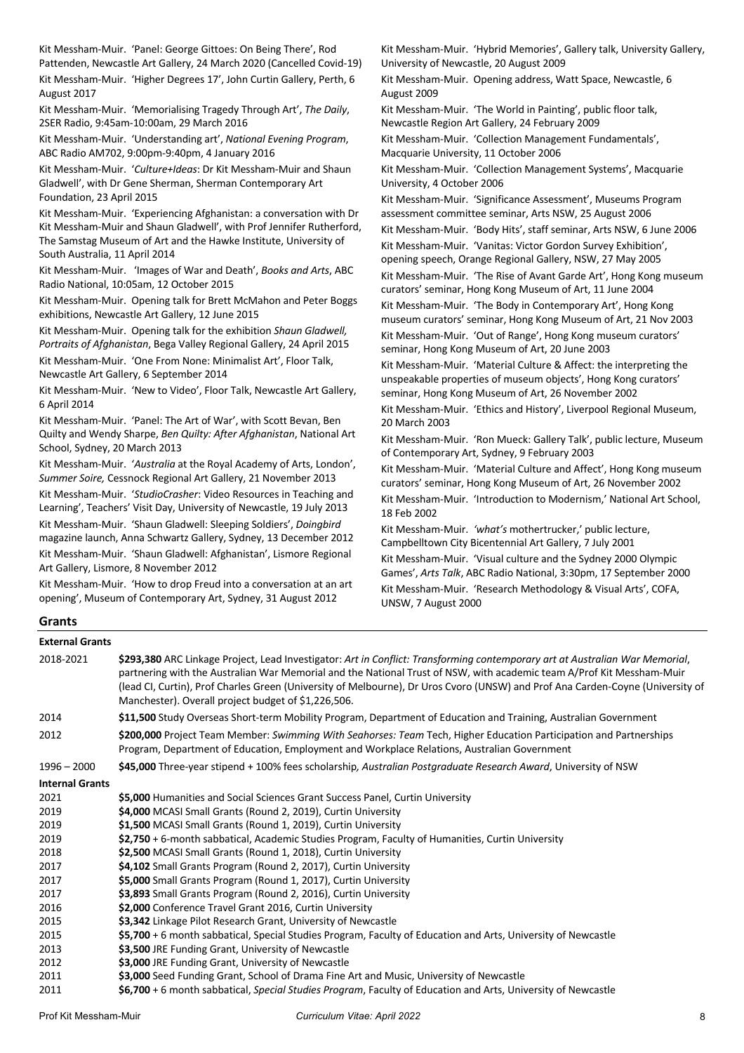Kit Messham-Muir. 'Panel: George Gittoes: On Being There', Rod Pattenden, Newcastle Art Gallery, 24 March 2020 (Cancelled Covid-19) Kit Messham-Muir. 'Higher Degrees 17', John Curtin Gallery, Perth, 6 August 2017 Kit Messham-Muir. 'Memorialising Tragedy Through Art', *The Daily*, 2SER Radio, 9:45am-10:00am, 29 March 2016 Kit Messham-Muir. 'Understanding art', *National Evening Program*, ABC Radio AM702, 9:00pm-9:40pm, 4 January 2016 Kit Messham-Muir. '*Culture+Ideas*: Dr Kit Messham-Muir and Shaun Gladwell', with Dr Gene Sherman, Sherman Contemporary Art Foundation, 23 April 2015 Kit Messham-Muir. 'Experiencing Afghanistan: a conversation with Dr Kit Messham-Muir and Shaun Gladwell', with Prof Jennifer Rutherford, The Samstag Museum of Art and the Hawke Institute, University of South Australia, 11 April 2014 Kit Messham-Muir. 'Images of War and Death', *Books and Arts*, ABC Radio National, 10:05am, 12 October 2015 Kit Messham-Muir. Opening talk for Brett McMahon and Peter Boggs exhibitions, Newcastle Art Gallery, 12 June 2015 Kit Messham-Muir. Opening talk for the exhibition *Shaun Gladwell, Portraits of Afghanistan*, Bega Valley Regional Gallery, 24 April 2015 Kit Messham-Muir. 'One From None: Minimalist Art', Floor Talk, Newcastle Art Gallery, 6 September 2014 Kit Messham-Muir. 'New to Video', Floor Talk, Newcastle Art Gallery, 6 April 2014 Kit Messham-Muir. 'Panel: The Art of War', with Scott Bevan, Ben Quilty and Wendy Sharpe, *Ben Quilty: After Afghanistan*, National Art School, Sydney, 20 March 2013 Kit Messham-Muir. '*Australia* at the Royal Academy of Arts, London', *Summer Soire,* Cessnock Regional Art Gallery, 21 November 2013 Kit Messham-Muir. '*StudioCrasher*: Video Resources in Teaching and Learning', Teachers' Visit Day, University of Newcastle, 19 July 2013 Kit Messham-Muir. 'Hybrid Memories', Gallery talk, University Gallery, University of Newcastle, 20 August 2009 Kit Messham-Muir. Opening address, Watt Space, Newcastle, 6 August 2009 Kit Messham-Muir. 'The World in Painting', public floor talk, Newcastle Region Art Gallery, 24 February 2009 Kit Messham-Muir. 'Collection Management Fundamentals', Macquarie University, 11 October 2006 Kit Messham-Muir. 'Collection Management Systems', Macquarie University, 4 October 2006 Kit Messham-Muir. 'Significance Assessment', Museums Program assessment committee seminar, Arts NSW, 25 August 2006 Kit Messham-Muir. 'Body Hits', staff seminar, Arts NSW, 6 June 2006 Kit Messham-Muir. 'Vanitas: Victor Gordon Survey Exhibition', opening speech, Orange Regional Gallery, NSW, 27 May 2005 Kit Messham-Muir. 'The Rise of Avant Garde Art', Hong Kong museum curators' seminar, Hong Kong Museum of Art, 11 June 2004 Kit Messham-Muir. 'The Body in Contemporary Art', Hong Kong museum curators' seminar, Hong Kong Museum of Art, 21 Nov 2003 Kit Messham-Muir. 'Out of Range', Hong Kong museum curators' seminar, Hong Kong Museum of Art, 20 June 2003 Kit Messham-Muir. 'Material Culture & Affect: the interpreting the unspeakable properties of museum objects', Hong Kong curators' seminar, Hong Kong Museum of Art, 26 November 2002 Kit Messham-Muir. 'Ethics and History', Liverpool Regional Museum, 20 March 2003 Kit Messham-Muir. 'Ron Mueck: Gallery Talk', public lecture, Museum of Contemporary Art, Sydney, 9 February 2003 Kit Messham-Muir. 'Material Culture and Affect', Hong Kong museum curators' seminar, Hong Kong Museum of Art, 26 November 2002 Kit Messham-Muir. 'Introduction to Modernism,' National Art School, 18 Feb 2002

Kit Messham-Muir. 'Shaun Gladwell: Sleeping Soldiers', *Doingbird* magazine launch, Anna Schwartz Gallery, Sydney, 13 December 2012 Kit Messham-Muir. 'Shaun Gladwell: Afghanistan', Lismore Regional Art Gallery, Lismore, 8 November 2012

Kit Messham-Muir. 'How to drop Freud into a conversation at an art opening', Museum of Contemporary Art, Sydney, 31 August 2012

Kit Messham-Muir. *'what's* mothertrucker,' public lecture, Campbelltown City Bicentennial Art Gallery, 7 July 2001 Kit Messham-Muir. 'Visual culture and the Sydney 2000 Olympic Games', *Arts Talk*, ABC Radio National, 3:30pm, 17 September 2000 Kit Messham-Muir. 'Research Methodology & Visual Arts', COFA, UNSW, 7 August 2000

## **Grants**

| <b>External Grants</b> |                                                                                                                                                                                                                                                                                                                                                                                                                                                |
|------------------------|------------------------------------------------------------------------------------------------------------------------------------------------------------------------------------------------------------------------------------------------------------------------------------------------------------------------------------------------------------------------------------------------------------------------------------------------|
| 2018-2021              | \$293,380 ARC Linkage Project, Lead Investigator: Art in Conflict: Transforming contemporary art at Australian War Memorial,<br>partnering with the Australian War Memorial and the National Trust of NSW, with academic team A/Prof Kit Messham-Muir<br>(lead CI, Curtin), Prof Charles Green (University of Melbourne), Dr Uros Cvoro (UNSW) and Prof Ana Carden-Coyne (University of<br>Manchester). Overall project budget of \$1,226,506. |
| 2014                   | \$11,500 Study Overseas Short-term Mobility Program, Department of Education and Training, Australian Government                                                                                                                                                                                                                                                                                                                               |
| 2012                   | \$200,000 Project Team Member: Swimming With Seahorses: Team Tech, Higher Education Participation and Partnerships<br>Program, Department of Education, Employment and Workplace Relations, Australian Government                                                                                                                                                                                                                              |
| $1996 - 2000$          | \$45,000 Three-year stipend + 100% fees scholarship, Australian Postgraduate Research Award, University of NSW                                                                                                                                                                                                                                                                                                                                 |
| <b>Internal Grants</b> |                                                                                                                                                                                                                                                                                                                                                                                                                                                |
| 2021                   | \$5,000 Humanities and Social Sciences Grant Success Panel, Curtin University                                                                                                                                                                                                                                                                                                                                                                  |
| 2019                   | \$4,000 MCASI Small Grants (Round 2, 2019), Curtin University                                                                                                                                                                                                                                                                                                                                                                                  |
| 2019                   | \$1,500 MCASI Small Grants (Round 1, 2019), Curtin University                                                                                                                                                                                                                                                                                                                                                                                  |
| 2019                   | \$2,750 + 6-month sabbatical, Academic Studies Program, Faculty of Humanities, Curtin University                                                                                                                                                                                                                                                                                                                                               |
| 2018                   | \$2,500 MCASI Small Grants (Round 1, 2018), Curtin University                                                                                                                                                                                                                                                                                                                                                                                  |
| 2017                   | \$4,102 Small Grants Program (Round 2, 2017), Curtin University                                                                                                                                                                                                                                                                                                                                                                                |
| 2017                   | \$5,000 Small Grants Program (Round 1, 2017), Curtin University                                                                                                                                                                                                                                                                                                                                                                                |
| 2017                   | \$3,893 Small Grants Program (Round 2, 2016), Curtin University                                                                                                                                                                                                                                                                                                                                                                                |
| 2016                   | \$2,000 Conference Travel Grant 2016, Curtin University                                                                                                                                                                                                                                                                                                                                                                                        |
| 2015                   | \$3,342 Linkage Pilot Research Grant, University of Newcastle                                                                                                                                                                                                                                                                                                                                                                                  |
| 2015                   | \$5,700 + 6 month sabbatical, Special Studies Program, Faculty of Education and Arts, University of Newcastle                                                                                                                                                                                                                                                                                                                                  |
| 2013                   | \$3,500 JRE Funding Grant, University of Newcastle                                                                                                                                                                                                                                                                                                                                                                                             |
| 2012                   | \$3,000 JRE Funding Grant, University of Newcastle                                                                                                                                                                                                                                                                                                                                                                                             |
| 2011                   | \$3,000 Seed Funding Grant, School of Drama Fine Art and Music, University of Newcastle                                                                                                                                                                                                                                                                                                                                                        |
| 2011                   | \$6,700 + 6 month sabbatical, Special Studies Program, Faculty of Education and Arts, University of Newcastle                                                                                                                                                                                                                                                                                                                                  |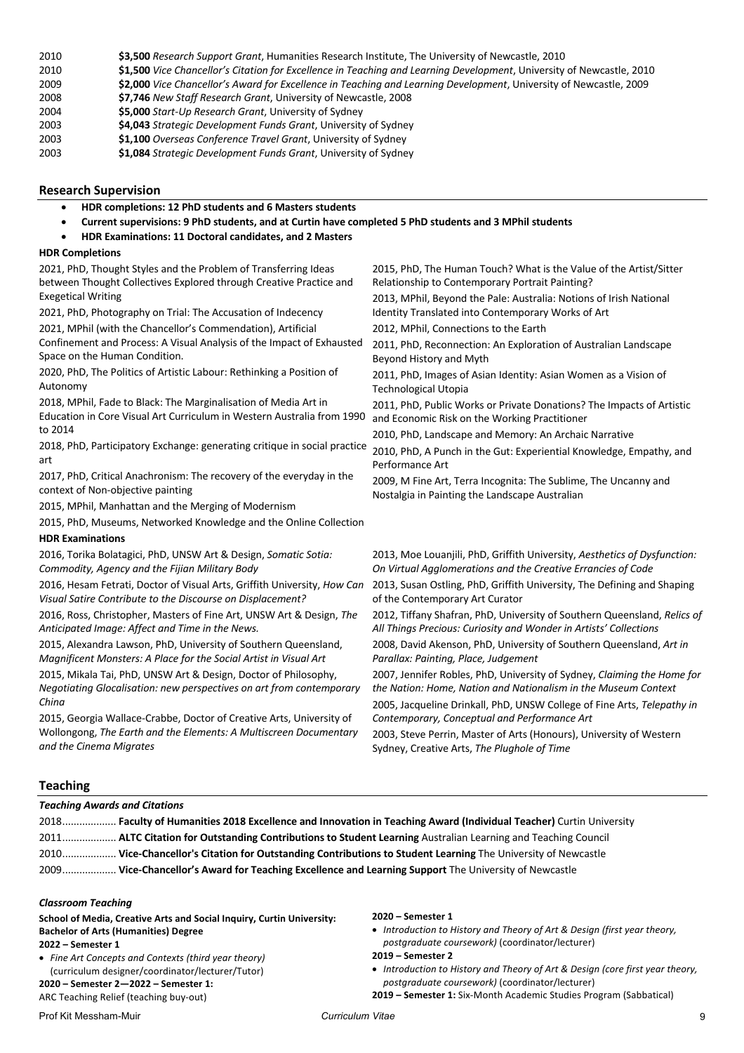| 2010 | \$3,500 Research Support Grant, Humanities Research Institute, The University of Newcastle, 2010 |
|------|--------------------------------------------------------------------------------------------------|
|      |                                                                                                  |
|      |                                                                                                  |

2010 **\$1,500** *Vice Chancellor's Citation for Excellence in Teaching and Learning Development*, University of Newcastle, 2010

- 2009 **\$2,000** *Vice Chancellor's Award for Excellence in Teaching and Learning Development*, University of Newcastle, 2009
- 2008 **\$7,746** *New Staff Research Grant*, University of Newcastle, 2008
- 2004 **\$5,000** *Start-Up Research Grant*, University of Sydney
- 2003 **\$4,043** *Strategic Development Funds Grant*, University of Sydney
- 2003 **\$1,100** *Overseas Conference Travel Grant*, University of Sydney
- 2003 **\$1,084** *Strategic Development Funds Grant*, University of Sydney

## **Research Supervision**

- **HDR completions: 12 PhD students and 6 Masters students**
- **Current supervisions: 9 PhD students, and at Curtin have completed 5 PhD students and 3 MPhil students**
- **HDR Examinations: 11 Doctoral candidates, and 2 Masters**

### **HDR Completions**

2021, PhD, Thought Styles and the Problem of Transferring Ideas between Thought Collectives Explored through Creative Practice and Exegetical Writing 2021, PhD, Photography on Trial: The Accusation of Indecency 2021, MPhil (with the Chancellor's Commendation), Artificial Confinement and Process: A Visual Analysis of the Impact of Exhausted Space on the Human Condition. 2020, PhD, The Politics of Artistic Labour: Rethinking a Position of Autonomy 2018, MPhil, Fade to Black: The Marginalisation of Media Art in Education in Core Visual Art Curriculum in Western Australia from 1990 to 2014 2018, PhD, Participatory Exchange: generating critique in social practice art 2017, PhD, Critical Anachronism: The recovery of the everyday in the context of Non-objective painting 2015, MPhil, Manhattan and the Merging of Modernism 2015, PhD, Museums, Networked Knowledge and the Online Collection 2015, PhD, The Human Touch? What is the Value of the Artist/Sitter Relationship to Contemporary Portrait Painting? 2013, MPhil, Beyond the Pale: Australia: Notions of Irish National Identity Translated into Contemporary Works of Art 2012, MPhil, Connections to the Earth 2011, PhD, Reconnection: An Exploration of Australian Landscape Beyond History and Myth 2011, PhD, Images of Asian Identity: Asian Women as a Vision of Technological Utopia 2011, PhD, Public Works or Private Donations? The Impacts of Artistic and Economic Risk on the Working Practitioner 2010, PhD, Landscape and Memory: An Archaic Narrative 2010, PhD, A Punch in the Gut: Experiential Knowledge, Empathy, and Performance Art 2009, M Fine Art, Terra Incognita: The Sublime, The Uncanny and Nostalgia in Painting the Landscape Australian **HDR Examinations** 2016, Torika Bolatagici, PhD, UNSW Art & Design, *Somatic Sotia: Commodity, Agency and the Fijian Military Body*  2016, Hesam Fetrati, Doctor of Visual Arts, Griffith University, How Can 2013, Susan Ostling, PhD, Griffith University, The Defining and Shaping *Visual Satire Contribute to the Discourse on Displacement?* 2016, Ross, Christopher, Masters of Fine Art, UNSW Art & Design, *The Anticipated Image: Affect and Time in the News.* 2015, Alexandra Lawson, PhD, University of Southern Queensland, *Magnificent Monsters: A Place for the Social Artist in Visual Art* 2015, Mikala Tai, PhD, UNSW Art & Design, Doctor of Philosophy, *Negotiating Glocalisation: new perspectives on art from contemporary China* 2015, Georgia Wallace-Crabbe, Doctor of Creative Arts, University of Wollongong, *The Earth and the Elements: A Multiscreen Documentary and the Cinema Migrates* 2013, Moe Louanjili, PhD, Griffith University, *Aesthetics of Dysfunction: On Virtual Agglomerations and the Creative Errancies of Code* of the Contemporary Art Curator 2012, Tiffany Shafran, PhD, University of Southern Queensland, *Relics of All Things Precious: Curiosity and Wonder in Artists' Collections* 2008, David Akenson, PhD, University of Southern Queensland, *Art in Parallax: Painting, Place, Judgement* 2007, Jennifer Robles, PhD, University of Sydney, *Claiming the Home for the Nation: Home, Nation and Nationalism in the Museum Context* 2005, Jacqueline Drinkall, PhD, UNSW College of Fine Arts, *Telepathy in Contemporary, Conceptual and Performance Art* 2003, Steve Perrin, Master of Arts (Honours), University of Western Sydney, Creative Arts, *The Plughole of Time*

## **Teaching**

## *Teaching Awards and Citations*

2018................... **Faculty of Humanities 2018 Excellence and Innovation in Teaching Award (Individual Teacher)** Curtin University 2011................... **ALTC Citation for Outstanding Contributions to Student Learning** Australian Learning and Teaching Council 2010................... **Vice-Chancellor's Citation for Outstanding Contributions to Student Learning** The University of Newcastle 2009................... **Vice-Chancellor's Award for Teaching Excellence and Learning Support** The University of Newcastle

## *Classroom Teaching*

**School of Media, Creative Arts and Social Inquiry, Curtin University: Bachelor of Arts (Humanities) Degree 2022 – Semester 1**

• *Fine Art Concepts and Contexts (third year theory)*  (curriculum designer/coordinator/lecturer/Tutor)

**2020 – Semester 2—2022 – Semester 1:**  ARC Teaching Relief (teaching buy-out)

#### • *Introduction to History and Theory of Art & Design (first year theory, postgraduate coursework)* (coordinator/lecturer)

**2019 – Semester 2**

**2020 – Semester 1**

- *Introduction to History and Theory of Art & Design (core first year theory, postgraduate coursework)* (coordinator/lecturer)
- **2019 – Semester 1:** Six-Month Academic Studies Program (Sabbatical)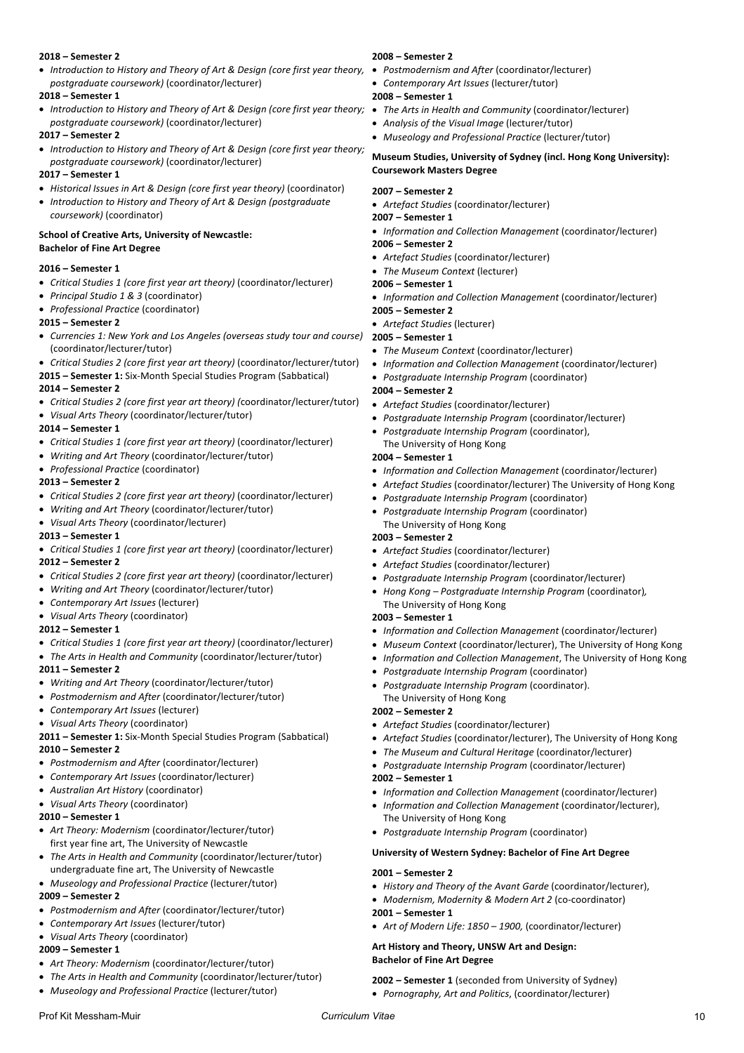### **2018 – Semester 2**

• *Introduction to History and Theory of Art & Design (core first year theory,*  • *Postmodernism and After* (coordinator/lecturer) *postgraduate coursework)* (coordinator/lecturer)

#### **2018 – Semester 1**

• *Introduction to History and Theory of Art & Design (core first year theory;*  • *The Arts in Health and Community* (coordinator/lecturer) *postgraduate coursework)* (coordinator/lecturer)

#### **2017 – Semester 2**

• *Introduction to History and Theory of Art & Design (core first year theory; postgraduate coursework)* (coordinator/lecturer)

#### **2017 – Semester 1**

- *Historical Issues in Art & Design (core first year theory)* (coordinator)
- *Introduction to History and Theory of Art & Design (postgraduate coursework)* (coordinator)

#### **School of Creative Arts, University of Newcastle: Bachelor of Fine Art Degree**

#### **2016 – Semester 1**

- *Critical Studies 1 (core first year art theory)* (coordinator/lecturer)
- *Principal Studio 1 & 3* (coordinator)

#### • *Professional Practice* (coordinator)

#### **2015 – Semester 2**

- *Currencies 1: New York and Los Angeles (overseas study tour and course)*  (coordinator/lecturer/tutor)
- *Critical Studies 2 (core first year art theory)* (coordinator/lecturer/tutor)
- **2015 – Semester 1:** Six-Month Special Studies Program (Sabbatical) **2014 – Semester 2**
- *Critical Studies 2 (core first year art theory) (*coordinator/lecturer/tutor)
- *Visual Arts Theory* (coordinator/lecturer/tutor)

## **2014 – Semester 1**

- *Critical Studies 1 (core first year art theory)* (coordinator/lecturer)
- *Writing and Art Theory* (coordinator/lecturer/tutor)
- *Professional Practice* (coordinator)

#### **2013 – Semester 2**

- *Critical Studies 2 (core first year art theory)* (coordinator/lecturer)
- *Writing and Art Theory* (coordinator/lecturer/tutor)
- *Visual Arts Theory* (coordinator/lecturer)

## **2013 – Semester 1**

- *Critical Studies 1 (core first year art theory)* (coordinator/lecturer) **2012 – Semester 2**
- *Critical Studies 2 (core first year art theory)* (coordinator/lecturer)
- *Writing and Art Theory* (coordinator/lecturer/tutor)
- *Contemporary Art Issues* (lecturer)

# • *Visual Arts Theory* (coordinator)

- **2012 – Semester 1**
- *Critical Studies 1 (core first year art theory)* (coordinator/lecturer)

#### • *The Arts in Health and Community* (coordinator/lecturer/tutor) **2011 – Semester 2**

- *Writing and Art Theory* (coordinator/lecturer/tutor)
- *Postmodernism and After* (coordinator/lecturer/tutor)
- *Contemporary Art Issues* (lecturer)
- *Visual Arts Theory* (coordinator)
- **2011 – Semester 1:** Six-Month Special Studies Program (Sabbatical)

#### **2010 – Semester 2**

- *Postmodernism and After* (coordinator/lecturer)
- *Contemporary Art Issues* (coordinator/lecturer)
- *Australian Art History* (coordinator)
- *Visual Arts Theory* (coordinator)

## **2010 – Semester 1**

- *Art Theory: Modernism* (coordinator/lecturer/tutor) first year fine art, The University of Newcastle
- *The Arts in Health and Community* (coordinator/lecturer/tutor) undergraduate fine art, The University of Newcastle
- *Museology and Professional Practice* (lecturer/tutor)

## **2009 – Semester 2**

- *Postmodernism and After* (coordinator/lecturer/tutor)
- *Contemporary Art Issues* (lecturer/tutor)
- *Visual Arts Theory* (coordinator)

# **2009 – Semester 1**

- *Art Theory: Modernism* (coordinator/lecturer/tutor)
- *The Arts in Health and Community* (coordinator/lecturer/tutor)
- *Museology and Professional Practice* (lecturer/tutor)

### **2008 – Semester 2**

- 
- *Contemporary Art Issues* (lecturer/tutor)

## **2008 – Semester 1**

- 
- *Analysis of the Visual Image* (lecturer/tutor)
- *Museology and Professional Practice* (lecturer/tutor)

#### **Museum Studies, University of Sydney (incl. Hong Kong University): Coursework Masters Degree**

#### **2007 – Semester 2**

- *Artefact Studies* (coordinator/lecturer)
- **2007 – Semester 1**
- *Information and Collection Management* (coordinator/lecturer)
- **2006 – Semester 2**
- *Artefact Studies* (coordinator/lecturer)
- *The Museum Context* (lecturer)
- **2006 – Semester 1**
- *Information and Collection Management* (coordinator/lecturer)
- **2005 – Semester 2**
- *Artefact Studies* (lecturer)

## **2005 – Semester 1**

- *The Museum Context* (coordinator/lecturer)
- *Information and Collection Management* (coordinator/lecturer)
- *Postgraduate Internship Program* (coordinator)

## **2004 – Semester 2**

- *Artefact Studies* (coordinator/lecturer)
- *Postgraduate Internship Program* (coordinator/lecturer)
- *Postgraduate Internship Program* (coordinator),

## The University of Hong Kong

## **2004 – Semester 1**

- *Information and Collection Management* (coordinator/lecturer)
- *Artefact Studies* (coordinator/lecturer) The University of Hong Kong
- *Postgraduate Internship Program* (coordinator)
- *Postgraduate Internship Program* (coordinator) The University of Hong Kong

## **2003 – Semester 2**

- *Artefact Studies* (coordinator/lecturer)
- *Artefact Studies* (coordinator/lecturer)

The University of Hong Kong

The University of Hong Kong

• *Postgraduate Internship Program* (coordinator)

• *Artefact Studies* (coordinator/lecturer)

• *Postgraduate Internship Program* (coordinator/lecturer)

• *Postgraduate Internship Program* (coordinator) • *Postgraduate Internship Program* (coordinator).

• *Hong Kong – Postgraduate Internship Program* (coordinator)*,*  The University of Hong Kong

#### **2003 – Semester 1**

**2002 – Semester 2**

**2002 – Semester 1**

**2001 – Semester 2**

**2001 – Semester 1**

**Bachelor of Fine Art Degree**

Prof Kit Messham-Muir *Curriculum Vitae* 10

- *Information and Collection Management* (coordinator/lecturer)
- *Museum Context* (coordinator/lecturer), The University of Hong Kong • *Information and Collection Management*, The University of Hong Kong

• *Artefact Studies* (coordinator/lecturer), The University of Hong Kong

• *Information and Collection Management* (coordinator/lecturer) • *Information and Collection Management* (coordinator/lecturer),

• *The Museum and Cultural Heritage* (coordinator/lecturer) • *Postgraduate Internship Program* (coordinator/lecturer)

**University of Western Sydney: Bachelor of Fine Art Degree** 

• *Art of Modern Life: 1850 – 1900,* (coordinator/lecturer)

**2002 – Semester 1** (seconded from University of Sydney) • *Pornography, Art and Politics*, (coordinator/lecturer)

**Art History and Theory, UNSW Art and Design:**

• *History and Theory of the Avant Garde* (coordinator/lecturer), • *Modernism, Modernity & Modern Art 2* (co-coordinator)